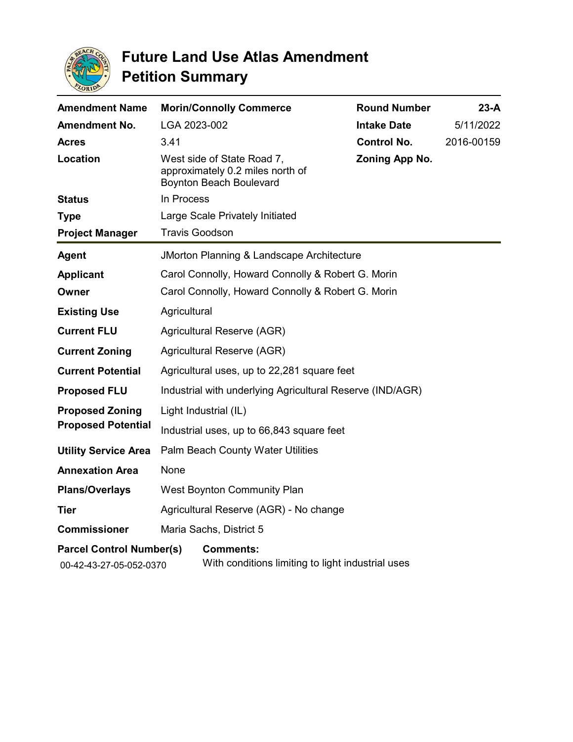

| <b>Amendment Name</b>                                      | <b>Morin/Connolly Commerce</b>                               |                                                                       | <b>Round Number</b> | $23-A$     |
|------------------------------------------------------------|--------------------------------------------------------------|-----------------------------------------------------------------------|---------------------|------------|
| <b>Amendment No.</b>                                       | LGA 2023-002                                                 |                                                                       | <b>Intake Date</b>  | 5/11/2022  |
| <b>Acres</b>                                               | 3.41                                                         |                                                                       | <b>Control No.</b>  | 2016-00159 |
| Location                                                   | West side of State Road 7,<br><b>Boynton Beach Boulevard</b> | approximately 0.2 miles north of                                      | Zoning App No.      |            |
| <b>Status</b>                                              | In Process                                                   |                                                                       |                     |            |
| <b>Type</b>                                                | Large Scale Privately Initiated                              |                                                                       |                     |            |
| <b>Project Manager</b>                                     | <b>Travis Goodson</b>                                        |                                                                       |                     |            |
| <b>Agent</b>                                               | JMorton Planning & Landscape Architecture                    |                                                                       |                     |            |
| <b>Applicant</b>                                           | Carol Connolly, Howard Connolly & Robert G. Morin            |                                                                       |                     |            |
| Owner                                                      | Carol Connolly, Howard Connolly & Robert G. Morin            |                                                                       |                     |            |
| <b>Existing Use</b>                                        | Agricultural                                                 |                                                                       |                     |            |
| <b>Current FLU</b>                                         | Agricultural Reserve (AGR)                                   |                                                                       |                     |            |
| <b>Current Zoning</b>                                      | Agricultural Reserve (AGR)                                   |                                                                       |                     |            |
| <b>Current Potential</b>                                   | Agricultural uses, up to 22,281 square feet                  |                                                                       |                     |            |
| <b>Proposed FLU</b>                                        | Industrial with underlying Agricultural Reserve (IND/AGR)    |                                                                       |                     |            |
| <b>Proposed Zoning</b><br><b>Proposed Potential</b>        | Light Industrial (IL)                                        |                                                                       |                     |            |
|                                                            | Industrial uses, up to 66,843 square feet                    |                                                                       |                     |            |
| <b>Utility Service Area</b>                                | Palm Beach County Water Utilities                            |                                                                       |                     |            |
| <b>Annexation Area</b>                                     | None                                                         |                                                                       |                     |            |
| <b>Plans/Overlays</b>                                      | West Boynton Community Plan                                  |                                                                       |                     |            |
| Tier                                                       | Agricultural Reserve (AGR) - No change                       |                                                                       |                     |            |
| <b>Commissioner</b>                                        | Maria Sachs, District 5                                      |                                                                       |                     |            |
| <b>Parcel Control Number(s)</b><br>00-42-43-27-05-052-0370 |                                                              | <b>Comments:</b><br>With conditions limiting to light industrial uses |                     |            |